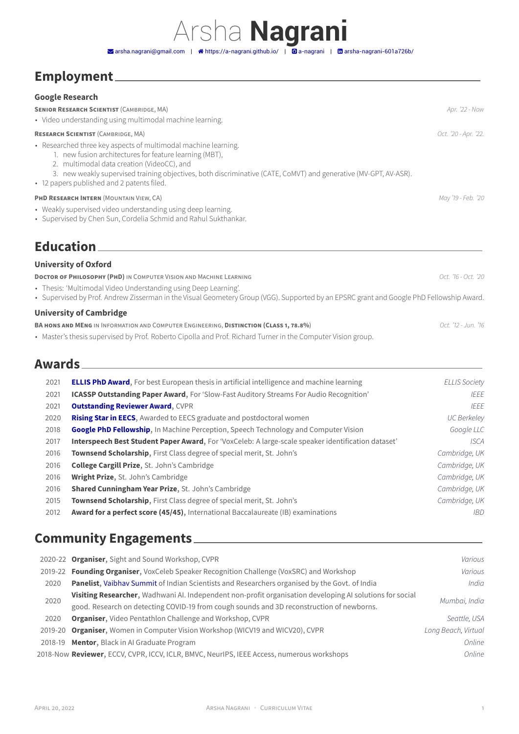## Arsha **Nagrani**  $\blacktriangleright$ [arsha.nagrani@gmail.com](mailto:arsha.nagrani@gmail.com) | �� [https://a-nagrani.github.io/](http://https://a-nagrani.github.io/) |  $\Box$  [a-nagrani](https://github.com/a-nagrani) |  $\Box$  [arsha-nagrani-601a726b/](https://www.linkedin.com/in/arsha-nagrani-601a726b/)

## **Employment**

## **Google Research**

|                                                                                              | <b>SENIOR RESEARCH SCIENTIST (CAMBRIDGE, MA)</b><br>· Video understanding using multimodal machine learning.                                                                                                                                                                                                                                                                                                                                                                                                                                                                                                                                                                                                                                                                                                                                                                                 | Apr. '22 - Now                                                                                                                                                                             |
|----------------------------------------------------------------------------------------------|----------------------------------------------------------------------------------------------------------------------------------------------------------------------------------------------------------------------------------------------------------------------------------------------------------------------------------------------------------------------------------------------------------------------------------------------------------------------------------------------------------------------------------------------------------------------------------------------------------------------------------------------------------------------------------------------------------------------------------------------------------------------------------------------------------------------------------------------------------------------------------------------|--------------------------------------------------------------------------------------------------------------------------------------------------------------------------------------------|
|                                                                                              | <b>RESEARCH SCIENTIST (CAMBRIDGE, MA)</b>                                                                                                                                                                                                                                                                                                                                                                                                                                                                                                                                                                                                                                                                                                                                                                                                                                                    | Oct. '20 - Apr. '22.                                                                                                                                                                       |
|                                                                                              | • Researched three key aspects of multimodal machine learning.<br>1. new fusion architectures for feature learning (MBT),<br>2. multimodal data creation (VideoCC), and<br>3. new weakly supervised training objectives, both discriminative (CATE, CoMVT) and generative (MV-GPT, AV-ASR).<br>• 12 papers published and 2 patents filed.                                                                                                                                                                                                                                                                                                                                                                                                                                                                                                                                                    |                                                                                                                                                                                            |
|                                                                                              | PHD RESEARCH INTERN (MOUNTAIN VIEW, CA)                                                                                                                                                                                                                                                                                                                                                                                                                                                                                                                                                                                                                                                                                                                                                                                                                                                      | May '19 - Feb. '20                                                                                                                                                                         |
|                                                                                              | • Weakly supervised video understanding using deep learning.<br>• Supervised by Chen Sun, Cordelia Schmid and Rahul Sukthankar.                                                                                                                                                                                                                                                                                                                                                                                                                                                                                                                                                                                                                                                                                                                                                              |                                                                                                                                                                                            |
|                                                                                              | <b>Education</b>                                                                                                                                                                                                                                                                                                                                                                                                                                                                                                                                                                                                                                                                                                                                                                                                                                                                             |                                                                                                                                                                                            |
|                                                                                              | <b>University of Oxford</b>                                                                                                                                                                                                                                                                                                                                                                                                                                                                                                                                                                                                                                                                                                                                                                                                                                                                  |                                                                                                                                                                                            |
|                                                                                              | DOCTOR OF PHILOSOPHY (PHD) IN COMPUTER VISION AND MACHINE LEARNING<br>• Thesis: 'Multimodal Video Understanding using Deep Learning'.<br>• Supervised by Prof. Andrew Zisserman in the Visual Geometery Group (VGG). Supported by an EPSRC grant and Google PhD Fellowship Award.                                                                                                                                                                                                                                                                                                                                                                                                                                                                                                                                                                                                            | Oct. '16 - Oct. '20                                                                                                                                                                        |
|                                                                                              | <b>University of Cambridge</b>                                                                                                                                                                                                                                                                                                                                                                                                                                                                                                                                                                                                                                                                                                                                                                                                                                                               |                                                                                                                                                                                            |
|                                                                                              | BA HONS AND MENG IN INFORMATION AND COMPUTER ENGINEERING, DISTINCTION (CLASS 1, 78.8%)<br>• Master's thesis supervised by Prof. Roberto Cipolla and Prof. Richard Turner in the Computer Vision group.                                                                                                                                                                                                                                                                                                                                                                                                                                                                                                                                                                                                                                                                                       | Oct. '12 - Jun. '16                                                                                                                                                                        |
| Awards_                                                                                      |                                                                                                                                                                                                                                                                                                                                                                                                                                                                                                                                                                                                                                                                                                                                                                                                                                                                                              |                                                                                                                                                                                            |
| 2021<br>2021<br>2021<br>2020<br>2018<br>2017<br>2016<br>2016<br>2016<br>2016<br>2015<br>2012 | <b>ELLIS PhD Award</b> , For best European thesis in artificial intelligence and machine learning<br>ICASSP Outstanding Paper Award, For 'Slow-Fast Auditory Streams For Audio Recognition'<br><b>Outstanding Reviewer Award, CVPR</b><br>Rising Star in EECS, Awarded to EECS graduate and postdoctoral women<br>Google PhD Fellowship, In Machine Perception, Speech Technology and Computer Vision<br>Interspeech Best Student Paper Award, For 'VoxCeleb: A large-scale speaker identification dataset'<br>Townsend Scholarship, First Class degree of special merit, St. John's<br>College Cargill Prize, St. John's Cambridge<br>Wright Prize, St. John's Cambridge<br>Shared Cunningham Year Prize, St. John's Cambridge<br>Townsend Scholarship, First Class degree of special merit, St. John's<br>Award for a perfect score (45/45), International Baccalaureate (IB) examinations | <b>ELLIS Society</b><br>IEEE<br><b>IEEE</b><br><b>UC Berkeley</b><br>Google LLC<br><b>ISCA</b><br>Cambridge, UK<br>Cambridge, UK<br>Cambridge, UK<br>Cambridge, UK<br>Cambridge, UK<br>IBD |
|                                                                                              | <b>Community Engagements</b>                                                                                                                                                                                                                                                                                                                                                                                                                                                                                                                                                                                                                                                                                                                                                                                                                                                                 |                                                                                                                                                                                            |
| 2020<br>2020                                                                                 | 2020-22 Organiser, Sight and Sound Workshop, CVPR<br>2019-22 Founding Organiser, VoxCeleb Speaker Recognition Challenge (VoxSRC) and Workshop<br>Panelist, Vaibhav Summit of Indian Scientists and Researchers organised by the Govt. of India<br>Visiting Researcher, Wadhwani AI. Independent non-profit organisation developing AI solutions for social<br>good. Research on detecting COVID-19 from cough sounds and 3D reconstruction of newborns.                                                                                                                                                                                                                                                                                                                                                                                                                                      | Various<br>Various<br>India<br>Mumbai, India                                                                                                                                               |
| 2020<br>2019-20                                                                              | Organiser, Video Pentathlon Challenge and Workshop, CVPR<br>Organiser, Women in Computer Vision Workshop (WICV19 and WICV20), CVPR<br>2018-19 Mentor, Black in Al Graduate Program<br>2018-Now Reviewer, ECCV, CVPR, ICCV, ICLR, BMVC, NeurlPS, IEEE Access, numerous workshops                                                                                                                                                                                                                                                                                                                                                                                                                                                                                                                                                                                                              | Seattle, USA<br>Long Beach, Virtual<br>Online<br>Online                                                                                                                                    |
|                                                                                              |                                                                                                                                                                                                                                                                                                                                                                                                                                                                                                                                                                                                                                                                                                                                                                                                                                                                                              |                                                                                                                                                                                            |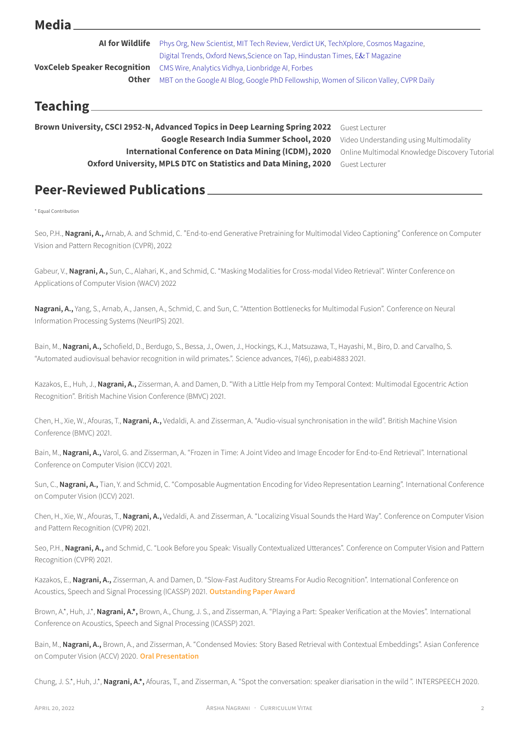| <b>Media</b>                                                    |                                                                                       |                                               |  |
|-----------------------------------------------------------------|---------------------------------------------------------------------------------------|-----------------------------------------------|--|
| <b>AI for Wildlife</b>                                          | Phys Org, New Scientist, MIT Tech Review, Verdict UK, TechXplore, Cosmos Magazine,    |                                               |  |
|                                                                 | Digital Trends, Oxford News, Science on Tap, Hindustan Times, E&T Magazine            |                                               |  |
| <b>VoxCeleb Speaker Recognition</b>                             | CMS Wire, Analytics Vidhya, Lionbridge AI, Forbes                                     |                                               |  |
| <b>Other</b>                                                    | MBT on the Google AI Blog, Google PhD Fellowship, Women of Silicon Valley, CVPR Daily |                                               |  |
| Teaching $\_\$                                                  |                                                                                       |                                               |  |
|                                                                 | Brown University, CSCI 2952-N, Advanced Topics in Deep Learning Spring 2022           | Guest Lecturer                                |  |
|                                                                 | Video Understanding using Multimodality                                               |                                               |  |
|                                                                 | <b>International Conference on Data Mining (ICDM), 2020</b>                           | Online Multimodal Knowledge Discovery Tutoria |  |
| Oxford University, MPLS DTC on Statistics and Data Mining, 2020 |                                                                                       |                                               |  |

## **Peer-Reviewed Publications**

\* Equal Contribution

Seo, P.H., **Nagrani, A.,** Arnab, A. and Schmid, C. "End-to-end Generative Pretraining for Multimodal Video Captioning" Conference on Computer Vision and Pattern Recognition (CVPR), 2022

Gabeur, V., Nagrani, A., Sun, C., Alahari, K., and Schmid, C. "Masking Modalities for Cross-modal Video Retrieval". Winter Conference on Applications of Computer Vision (WACV) 2022

**Nagrani, A.,** Yang, S., Arnab, A., Jansen, A., Schmid, C. and Sun, C. "Attention Bottlenecks for Multimodal Fusion". Conference on Neural Information Processing Systems (NeurIPS) 2021.

Bain, M., **Nagrani, A.,** Schofield, D., Berdugo, S., Bessa, J., Owen, J., Hockings, K.J., Matsuzawa, T., Hayashi, M., Biro, D. and Carvalho, S. "Automated audiovisual behavior recognition in wild primates.". Science advances, 7(46), p.eabi4883 2021.

Kazakos, E., Huh, J., **Nagrani, A.,** Zisserman, A. and Damen, D. "With a Little Help from my Temporal Context: Multimodal Egocentric Action Recognition". British Machine Vision Conference (BMVC) 2021.

Chen, H., Xie, W., Afouras, T., **Nagrani, A.,** Vedaldi, A. and Zisserman, A. "Audio-visual synchronisation in the wild". British Machine Vision Conference (BMVC) 2021.

Bain, M., **Nagrani, A.,** Varol, G. and Zisserman, A. "Frozen in Time: A Joint Video and Image Encoder for End-to-End Retrieval". International Conference on Computer Vision (ICCV) 2021.

Sun, C., **Nagrani, A.,** Tian, Y. and Schmid, C. "Composable Augmentation Encoding for Video Representation Learning". International Conference on Computer Vision (ICCV) 2021.

Chen, H., Xie, W., Afouras, T., **Nagrani, A.,** Vedaldi, A. and Zisserman, A. "Localizing Visual Sounds the Hard Way". Conference on Computer Vision and Pattern Recognition (CVPR) 2021.

Seo, P.H., **Nagrani, A.,** and Schmid, C. "Look Before you Speak: Visually Contextualized Utterances". Conference on Computer Vision and Pattern Recognition (CVPR) 2021.

Kazakos, E., **Nagrani, A.,** Zisserman, A. and Damen, D. "Slow-Fast Auditory Streams For Audio Recognition". International Conference on Acoustics, Speech and Signal Processing (ICASSP) 2021. **Outstanding Paper Award**

Brown, A.\*, Huh, J.\*, **Nagrani, A.\*,** Brown, A., Chung, J. S., and Zisserman, A. "Playing a Part: Speaker Verification at the Movies". International Conference on Acoustics, Speech and Signal Processing (ICASSP) 2021.

Bain, M., **Nagrani, A.,** Brown, A., and Zisserman, A. "Condensed Movies: Story Based Retrieval with Contextual Embeddings". Asian Conference on Computer Vision (ACCV) 2020. **Oral Presentation**

Chung, J. S.\*, Huh, J.\*, **Nagrani, A.\*,** Afouras, T., and Zisserman, A. "Spot the conversation: speaker diarisation in the wild ". INTERSPEECH 2020.